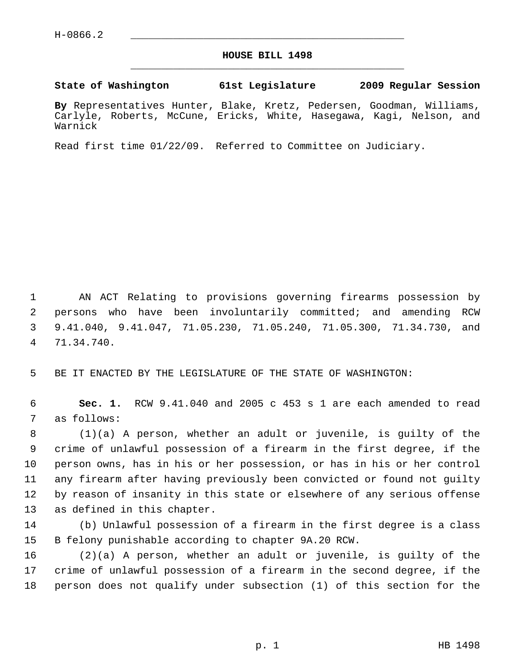## **HOUSE BILL 1498** \_\_\_\_\_\_\_\_\_\_\_\_\_\_\_\_\_\_\_\_\_\_\_\_\_\_\_\_\_\_\_\_\_\_\_\_\_\_\_\_\_\_\_\_\_

**State of Washington 61st Legislature 2009 Regular Session**

**By** Representatives Hunter, Blake, Kretz, Pedersen, Goodman, Williams, Carlyle, Roberts, McCune, Ericks, White, Hasegawa, Kagi, Nelson, and Warnick

Read first time 01/22/09. Referred to Committee on Judiciary.

 1 AN ACT Relating to provisions governing firearms possession by 2 persons who have been involuntarily committed; and amending RCW 3 9.41.040, 9.41.047, 71.05.230, 71.05.240, 71.05.300, 71.34.730, and 4 71.34.740.

5 BE IT ENACTED BY THE LEGISLATURE OF THE STATE OF WASHINGTON:

 6 **Sec. 1.** RCW 9.41.040 and 2005 c 453 s 1 are each amended to read 7 as follows:

 8 (1)(a) A person, whether an adult or juvenile, is guilty of the 9 crime of unlawful possession of a firearm in the first degree, if the 10 person owns, has in his or her possession, or has in his or her control 11 any firearm after having previously been convicted or found not guilty 12 by reason of insanity in this state or elsewhere of any serious offense 13 as defined in this chapter.

14 (b) Unlawful possession of a firearm in the first degree is a class 15 B felony punishable according to chapter 9A.20 RCW.

16 (2)(a) A person, whether an adult or juvenile, is guilty of the 17 crime of unlawful possession of a firearm in the second degree, if the 18 person does not qualify under subsection (1) of this section for the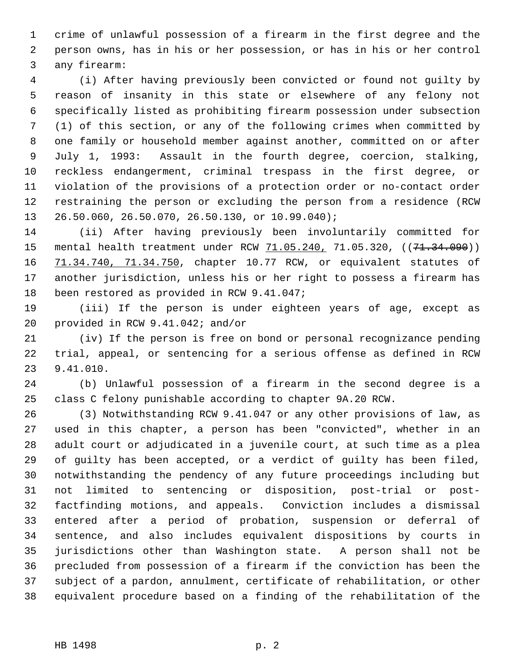1 crime of unlawful possession of a firearm in the first degree and the 2 person owns, has in his or her possession, or has in his or her control 3 any firearm:

 4 (i) After having previously been convicted or found not guilty by 5 reason of insanity in this state or elsewhere of any felony not 6 specifically listed as prohibiting firearm possession under subsection 7 (1) of this section, or any of the following crimes when committed by 8 one family or household member against another, committed on or after 9 July 1, 1993: Assault in the fourth degree, coercion, stalking, 10 reckless endangerment, criminal trespass in the first degree, or 11 violation of the provisions of a protection order or no-contact order 12 restraining the person or excluding the person from a residence (RCW 13 26.50.060, 26.50.070, 26.50.130, or 10.99.040);

14 (ii) After having previously been involuntarily committed for 15 mental health treatment under RCW 71.05.240, 71.05.320, ((71.34.090)) 16 71.34.740, 71.34.750, chapter 10.77 RCW, or equivalent statutes of 17 another jurisdiction, unless his or her right to possess a firearm has 18 been restored as provided in RCW 9.41.047;

19 (iii) If the person is under eighteen years of age, except as 20 provided in RCW 9.41.042; and/or

21 (iv) If the person is free on bond or personal recognizance pending 22 trial, appeal, or sentencing for a serious offense as defined in RCW 23 9.41.010.

24 (b) Unlawful possession of a firearm in the second degree is a 25 class C felony punishable according to chapter 9A.20 RCW.

26 (3) Notwithstanding RCW 9.41.047 or any other provisions of law, as 27 used in this chapter, a person has been "convicted", whether in an 28 adult court or adjudicated in a juvenile court, at such time as a plea 29 of guilty has been accepted, or a verdict of guilty has been filed, 30 notwithstanding the pendency of any future proceedings including but 31 not limited to sentencing or disposition, post-trial or post-32 factfinding motions, and appeals. Conviction includes a dismissal 33 entered after a period of probation, suspension or deferral of 34 sentence, and also includes equivalent dispositions by courts in 35 jurisdictions other than Washington state. A person shall not be 36 precluded from possession of a firearm if the conviction has been the 37 subject of a pardon, annulment, certificate of rehabilitation, or other 38 equivalent procedure based on a finding of the rehabilitation of the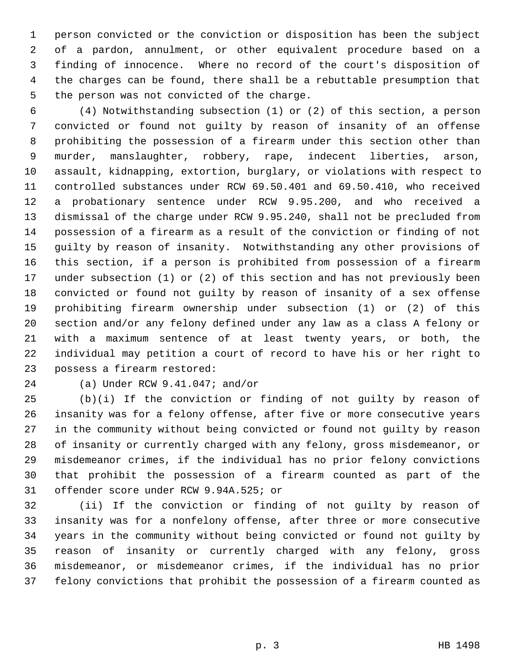1 person convicted or the conviction or disposition has been the subject 2 of a pardon, annulment, or other equivalent procedure based on a 3 finding of innocence. Where no record of the court's disposition of 4 the charges can be found, there shall be a rebuttable presumption that 5 the person was not convicted of the charge.

 6 (4) Notwithstanding subsection (1) or (2) of this section, a person 7 convicted or found not guilty by reason of insanity of an offense 8 prohibiting the possession of a firearm under this section other than 9 murder, manslaughter, robbery, rape, indecent liberties, arson, 10 assault, kidnapping, extortion, burglary, or violations with respect to 11 controlled substances under RCW 69.50.401 and 69.50.410, who received 12 a probationary sentence under RCW 9.95.200, and who received a 13 dismissal of the charge under RCW 9.95.240, shall not be precluded from 14 possession of a firearm as a result of the conviction or finding of not 15 guilty by reason of insanity. Notwithstanding any other provisions of 16 this section, if a person is prohibited from possession of a firearm 17 under subsection (1) or (2) of this section and has not previously been 18 convicted or found not guilty by reason of insanity of a sex offense 19 prohibiting firearm ownership under subsection (1) or (2) of this 20 section and/or any felony defined under any law as a class A felony or 21 with a maximum sentence of at least twenty years, or both, the 22 individual may petition a court of record to have his or her right to 23 possess a firearm restored:

## 24 (a) Under RCW 9.41.047; and/or

25 (b)(i) If the conviction or finding of not guilty by reason of 26 insanity was for a felony offense, after five or more consecutive years 27 in the community without being convicted or found not guilty by reason 28 of insanity or currently charged with any felony, gross misdemeanor, or 29 misdemeanor crimes, if the individual has no prior felony convictions 30 that prohibit the possession of a firearm counted as part of the 31 offender score under RCW 9.94A.525; or

32 (ii) If the conviction or finding of not guilty by reason of 33 insanity was for a nonfelony offense, after three or more consecutive 34 years in the community without being convicted or found not guilty by 35 reason of insanity or currently charged with any felony, gross 36 misdemeanor, or misdemeanor crimes, if the individual has no prior 37 felony convictions that prohibit the possession of a firearm counted as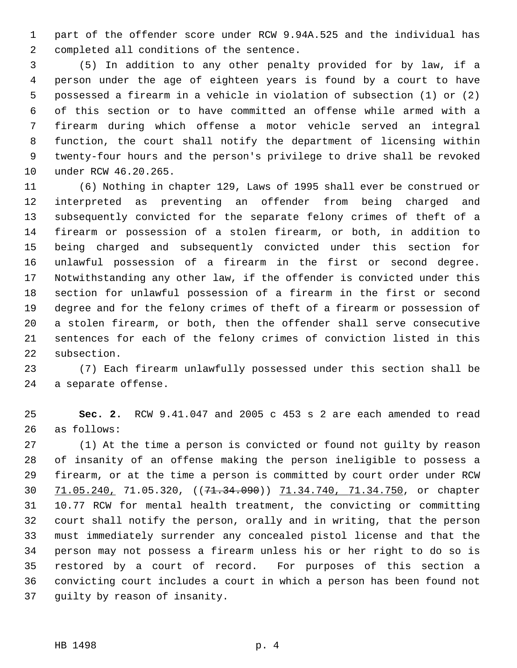1 part of the offender score under RCW 9.94A.525 and the individual has 2 completed all conditions of the sentence.

 3 (5) In addition to any other penalty provided for by law, if a 4 person under the age of eighteen years is found by a court to have 5 possessed a firearm in a vehicle in violation of subsection (1) or (2) 6 of this section or to have committed an offense while armed with a 7 firearm during which offense a motor vehicle served an integral 8 function, the court shall notify the department of licensing within 9 twenty-four hours and the person's privilege to drive shall be revoked 10 under RCW 46.20.265.

11 (6) Nothing in chapter 129, Laws of 1995 shall ever be construed or 12 interpreted as preventing an offender from being charged and 13 subsequently convicted for the separate felony crimes of theft of a 14 firearm or possession of a stolen firearm, or both, in addition to 15 being charged and subsequently convicted under this section for 16 unlawful possession of a firearm in the first or second degree. 17 Notwithstanding any other law, if the offender is convicted under this 18 section for unlawful possession of a firearm in the first or second 19 degree and for the felony crimes of theft of a firearm or possession of 20 a stolen firearm, or both, then the offender shall serve consecutive 21 sentences for each of the felony crimes of conviction listed in this 22 subsection.

23 (7) Each firearm unlawfully possessed under this section shall be 24 a separate offense.

25 **Sec. 2.** RCW 9.41.047 and 2005 c 453 s 2 are each amended to read 26 as follows:

27 (1) At the time a person is convicted or found not guilty by reason 28 of insanity of an offense making the person ineligible to possess a 29 firearm, or at the time a person is committed by court order under RCW 30 71.05.240, 71.05.320, ((71.34.090)) 71.34.740, 71.34.750, or chapter 31 10.77 RCW for mental health treatment, the convicting or committing 32 court shall notify the person, orally and in writing, that the person 33 must immediately surrender any concealed pistol license and that the 34 person may not possess a firearm unless his or her right to do so is 35 restored by a court of record. For purposes of this section a 36 convicting court includes a court in which a person has been found not 37 guilty by reason of insanity.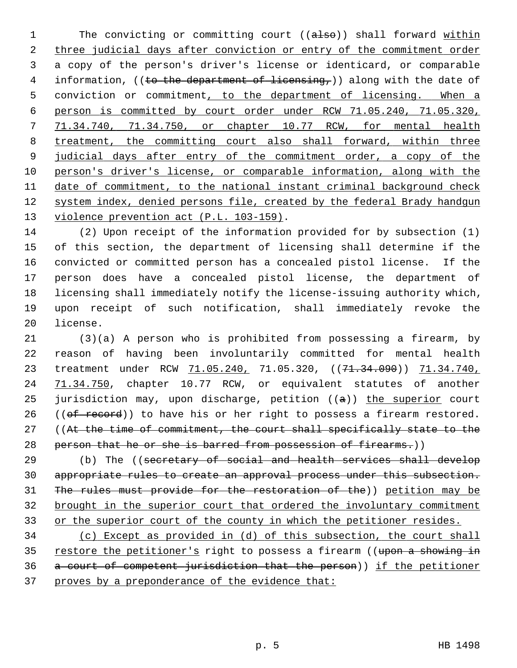1 The convicting or committing court ((also)) shall forward within 2 three judicial days after conviction or entry of the commitment order 3 a copy of the person's driver's license or identicard, or comparable 4 information, ((to the department of licensing,)) along with the date of 5 conviction or commitment, to the department of licensing. When a 6 person is committed by court order under RCW 71.05.240, 71.05.320, 7 71.34.740, 71.34.750, or chapter 10.77 RCW, for mental health 8 treatment, the committing court also shall forward, within three 9 judicial days after entry of the commitment order, a copy of the 10 person's driver's license, or comparable information, along with the 11 date of commitment, to the national instant criminal background check 12 system index, denied persons file, created by the federal Brady handgun 13 violence prevention act (P.L. 103-159).

14 (2) Upon receipt of the information provided for by subsection (1) 15 of this section, the department of licensing shall determine if the 16 convicted or committed person has a concealed pistol license. If the 17 person does have a concealed pistol license, the department of 18 licensing shall immediately notify the license-issuing authority which, 19 upon receipt of such notification, shall immediately revoke the 20 license.

21 (3)(a) A person who is prohibited from possessing a firearm, by 22 reason of having been involuntarily committed for mental health 23 treatment under RCW  $71.05.240$ , 71.05.320, ((71.34.090)) 71.34.740, 24 71.34.750, chapter 10.77 RCW, or equivalent statutes of another 25 jurisdiction may, upon discharge, petition  $((a))$  the superior court 26 ( $(\theta f \text{ record})$ ) to have his or her right to possess a firearm restored. 27 ((At the time of commitment, the court shall specifically state to the 28 person that he or she is barred from possession of firearms.))

29 (b) The ((secretary of social and health services shall develop appropriate rules to create an approval process under this subsection. The rules must provide for the restoration of the)) petition may be brought in the superior court that ordered the involuntary commitment or the superior court of the county in which the petitioner resides.

 (c) Except as provided in (d) of this subsection, the court shall 35 restore the petitioner's right to possess a firearm ((upon a showing in a court of competent jurisdiction that the person)) if the petitioner proves by a preponderance of the evidence that: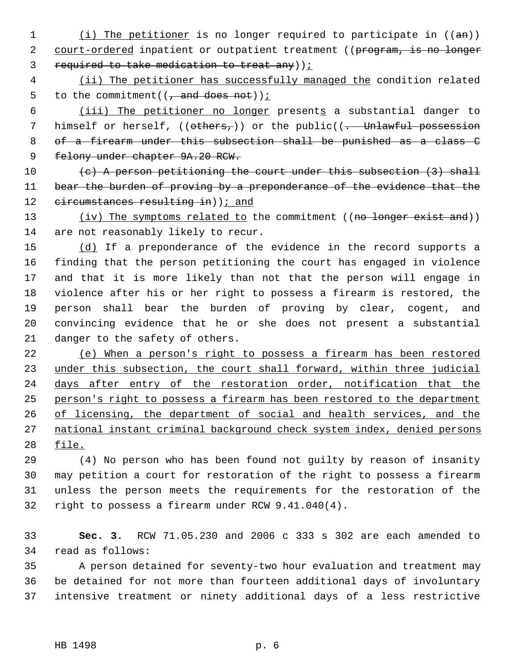- 1 (i) The petitioner is no longer required to participate in  $((an))$ 2 court-ordered inpatient or outpatient treatment ((program, is no longer 3 required to take medication to treat any));
- 4 (ii) The petitioner has successfully managed the condition related 5 to the commitment( $\left(\frac{1}{1} \text{ and does not}\right)$ );

6 (iii) The petitioner no longer presents a substantial danger to 7 himself or herself,  $((others<sub>r</sub>))$  or the public $((... )$  Unlawful possession 8 of a firearm under this subsection shall be punished as a class C 9 felony under chapter 9A.20 RCW.

10  $(e)$  A person petitioning the court under this subsection  $(3)$  shall 11 bear the burden of proving by a preponderance of the evidence that the 12 circumstances resulting in) ); and

13 (iv) The symptoms related to the commitment ((no longer exist and)) 14 are not reasonably likely to recur.

15 (d) If a preponderance of the evidence in the record supports a 16 finding that the person petitioning the court has engaged in violence 17 and that it is more likely than not that the person will engage in 18 violence after his or her right to possess a firearm is restored, the 19 person shall bear the burden of proving by clear, cogent, and 20 convincing evidence that he or she does not present a substantial 21 danger to the safety of others.

 (e) When a person's right to possess a firearm has been restored 23 under this subsection, the court shall forward, within three judicial days after entry of the restoration order, notification that the person's right to possess a firearm has been restored to the department of licensing, the department of social and health services, and the national instant criminal background check system index, denied persons 28 file.

29 (4) No person who has been found not guilty by reason of insanity 30 may petition a court for restoration of the right to possess a firearm 31 unless the person meets the requirements for the restoration of the 32 right to possess a firearm under RCW 9.41.040(4).

33 **Sec. 3.** RCW 71.05.230 and 2006 c 333 s 302 are each amended to 34 read as follows:

35 A person detained for seventy-two hour evaluation and treatment may 36 be detained for not more than fourteen additional days of involuntary 37 intensive treatment or ninety additional days of a less restrictive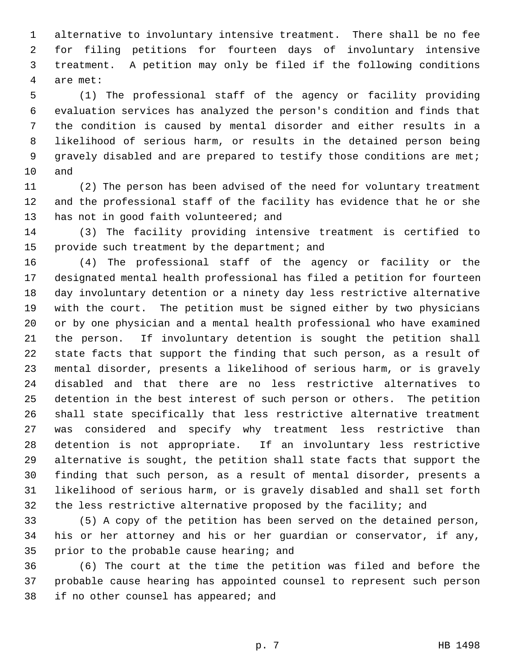1 alternative to involuntary intensive treatment. There shall be no fee 2 for filing petitions for fourteen days of involuntary intensive 3 treatment. A petition may only be filed if the following conditions 4 are met:

 5 (1) The professional staff of the agency or facility providing 6 evaluation services has analyzed the person's condition and finds that 7 the condition is caused by mental disorder and either results in a 8 likelihood of serious harm, or results in the detained person being 9 gravely disabled and are prepared to testify those conditions are met; 10 and

11 (2) The person has been advised of the need for voluntary treatment 12 and the professional staff of the facility has evidence that he or she 13 has not in good faith volunteered; and

14 (3) The facility providing intensive treatment is certified to 15 provide such treatment by the department; and

16 (4) The professional staff of the agency or facility or the 17 designated mental health professional has filed a petition for fourteen 18 day involuntary detention or a ninety day less restrictive alternative 19 with the court. The petition must be signed either by two physicians 20 or by one physician and a mental health professional who have examined 21 the person. If involuntary detention is sought the petition shall 22 state facts that support the finding that such person, as a result of 23 mental disorder, presents a likelihood of serious harm, or is gravely 24 disabled and that there are no less restrictive alternatives to 25 detention in the best interest of such person or others. The petition 26 shall state specifically that less restrictive alternative treatment 27 was considered and specify why treatment less restrictive than 28 detention is not appropriate. If an involuntary less restrictive 29 alternative is sought, the petition shall state facts that support the 30 finding that such person, as a result of mental disorder, presents a 31 likelihood of serious harm, or is gravely disabled and shall set forth 32 the less restrictive alternative proposed by the facility; and

33 (5) A copy of the petition has been served on the detained person, 34 his or her attorney and his or her guardian or conservator, if any, 35 prior to the probable cause hearing; and

36 (6) The court at the time the petition was filed and before the 37 probable cause hearing has appointed counsel to represent such person 38 if no other counsel has appeared; and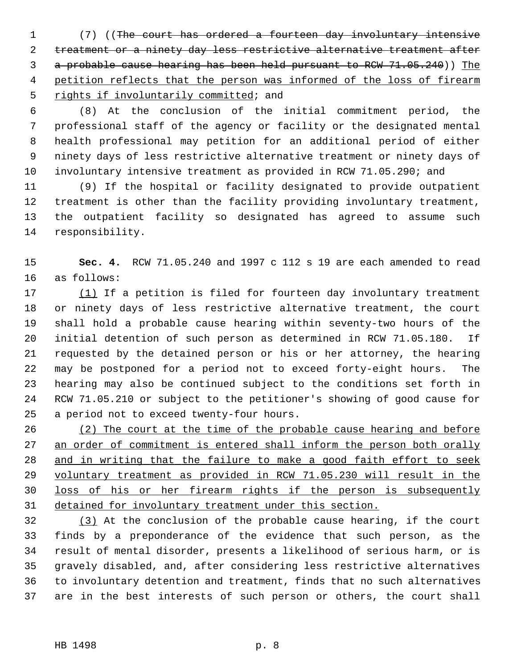1 (7) ((The court has ordered a fourteen day involuntary intensive 2 treatment or a ninety day less restrictive alternative treatment after 3 a probable cause hearing has been held pursuant to RCW 71.05.240)) The 4 petition reflects that the person was informed of the loss of firearm 5 rights if involuntarily committed; and

 6 (8) At the conclusion of the initial commitment period, the 7 professional staff of the agency or facility or the designated mental 8 health professional may petition for an additional period of either 9 ninety days of less restrictive alternative treatment or ninety days of 10 involuntary intensive treatment as provided in RCW 71.05.290; and

11 (9) If the hospital or facility designated to provide outpatient 12 treatment is other than the facility providing involuntary treatment, 13 the outpatient facility so designated has agreed to assume such 14 responsibility.

15 **Sec. 4.** RCW 71.05.240 and 1997 c 112 s 19 are each amended to read 16 as follows:

17 (1) If a petition is filed for fourteen day involuntary treatment 18 or ninety days of less restrictive alternative treatment, the court 19 shall hold a probable cause hearing within seventy-two hours of the 20 initial detention of such person as determined in RCW 71.05.180. If 21 requested by the detained person or his or her attorney, the hearing 22 may be postponed for a period not to exceed forty-eight hours. The 23 hearing may also be continued subject to the conditions set forth in 24 RCW 71.05.210 or subject to the petitioner's showing of good cause for 25 a period not to exceed twenty-four hours.

 (2) The court at the time of the probable cause hearing and before 27 an order of commitment is entered shall inform the person both orally and in writing that the failure to make a good faith effort to seek voluntary treatment as provided in RCW 71.05.230 will result in the loss of his or her firearm rights if the person is subsequently detained for involuntary treatment under this section.

32 (3) At the conclusion of the probable cause hearing, if the court 33 finds by a preponderance of the evidence that such person, as the 34 result of mental disorder, presents a likelihood of serious harm, or is 35 gravely disabled, and, after considering less restrictive alternatives 36 to involuntary detention and treatment, finds that no such alternatives 37 are in the best interests of such person or others, the court shall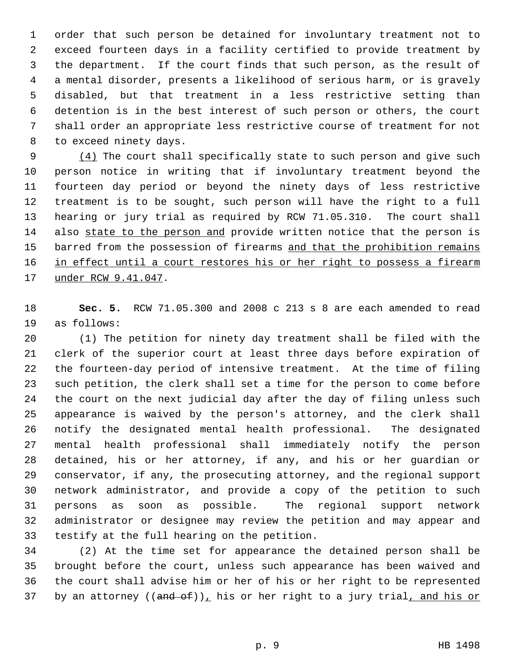1 order that such person be detained for involuntary treatment not to 2 exceed fourteen days in a facility certified to provide treatment by 3 the department. If the court finds that such person, as the result of 4 a mental disorder, presents a likelihood of serious harm, or is gravely 5 disabled, but that treatment in a less restrictive setting than 6 detention is in the best interest of such person or others, the court 7 shall order an appropriate less restrictive course of treatment for not 8 to exceed ninety days.

 9 (4) The court shall specifically state to such person and give such 10 person notice in writing that if involuntary treatment beyond the 11 fourteen day period or beyond the ninety days of less restrictive 12 treatment is to be sought, such person will have the right to a full 13 hearing or jury trial as required by RCW 71.05.310. The court shall 14 also state to the person and provide written notice that the person is 15 barred from the possession of firearms and that the prohibition remains 16 in effect until a court restores his or her right to possess a firearm 17 under RCW 9.41.047.

18 **Sec. 5.** RCW 71.05.300 and 2008 c 213 s 8 are each amended to read 19 as follows:

20 (1) The petition for ninety day treatment shall be filed with the 21 clerk of the superior court at least three days before expiration of 22 the fourteen-day period of intensive treatment. At the time of filing 23 such petition, the clerk shall set a time for the person to come before 24 the court on the next judicial day after the day of filing unless such 25 appearance is waived by the person's attorney, and the clerk shall 26 notify the designated mental health professional. The designated 27 mental health professional shall immediately notify the person 28 detained, his or her attorney, if any, and his or her guardian or 29 conservator, if any, the prosecuting attorney, and the regional support 30 network administrator, and provide a copy of the petition to such 31 persons as soon as possible. The regional support network 32 administrator or designee may review the petition and may appear and 33 testify at the full hearing on the petition.

34 (2) At the time set for appearance the detained person shall be 35 brought before the court, unless such appearance has been waived and 36 the court shall advise him or her of his or her right to be represented 37 by an attorney  $((and of))_L$  his or her right to a jury trial, and his or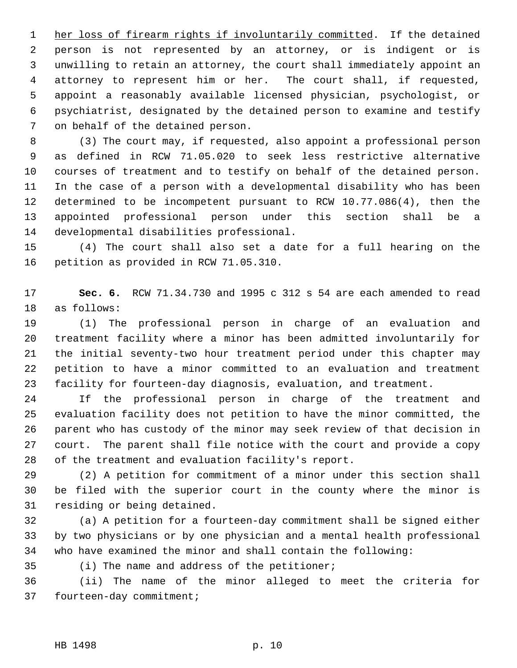1 her loss of firearm rights if involuntarily committed. If the detained 2 person is not represented by an attorney, or is indigent or is 3 unwilling to retain an attorney, the court shall immediately appoint an 4 attorney to represent him or her. The court shall, if requested, 5 appoint a reasonably available licensed physician, psychologist, or 6 psychiatrist, designated by the detained person to examine and testify 7 on behalf of the detained person.

 8 (3) The court may, if requested, also appoint a professional person 9 as defined in RCW 71.05.020 to seek less restrictive alternative 10 courses of treatment and to testify on behalf of the detained person. 11 In the case of a person with a developmental disability who has been 12 determined to be incompetent pursuant to RCW 10.77.086(4), then the 13 appointed professional person under this section shall be a 14 developmental disabilities professional.

15 (4) The court shall also set a date for a full hearing on the 16 petition as provided in RCW 71.05.310.

17 **Sec. 6.** RCW 71.34.730 and 1995 c 312 s 54 are each amended to read 18 as follows:

19 (1) The professional person in charge of an evaluation and 20 treatment facility where a minor has been admitted involuntarily for 21 the initial seventy-two hour treatment period under this chapter may 22 petition to have a minor committed to an evaluation and treatment 23 facility for fourteen-day diagnosis, evaluation, and treatment.

24 If the professional person in charge of the treatment and 25 evaluation facility does not petition to have the minor committed, the 26 parent who has custody of the minor may seek review of that decision in 27 court. The parent shall file notice with the court and provide a copy 28 of the treatment and evaluation facility's report.

29 (2) A petition for commitment of a minor under this section shall 30 be filed with the superior court in the county where the minor is 31 residing or being detained.

32 (a) A petition for a fourteen-day commitment shall be signed either 33 by two physicians or by one physician and a mental health professional 34 who have examined the minor and shall contain the following:

35 (i) The name and address of the petitioner;

36 (ii) The name of the minor alleged to meet the criteria for 37 fourteen-day commitment;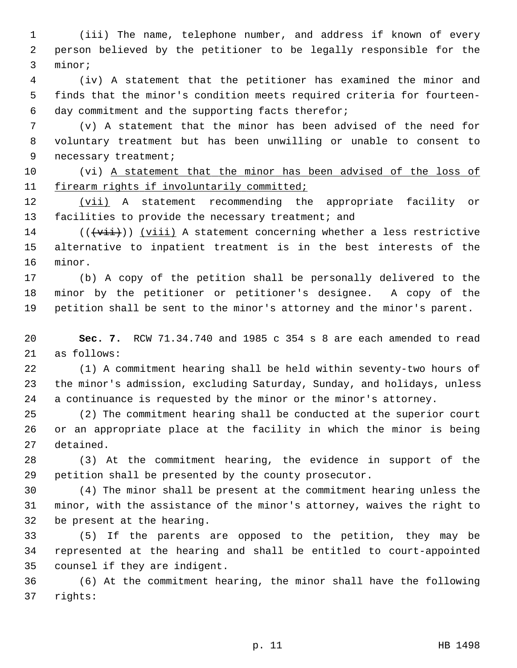1 (iii) The name, telephone number, and address if known of every 2 person believed by the petitioner to be legally responsible for the 3 minor;

 4 (iv) A statement that the petitioner has examined the minor and 5 finds that the minor's condition meets required criteria for fourteen- 6 day commitment and the supporting facts therefor;

 7 (v) A statement that the minor has been advised of the need for 8 voluntary treatment but has been unwilling or unable to consent to 9 necessary treatment;

10 (vi) A statement that the minor has been advised of the loss of 11 firearm rights if involuntarily committed;

12 (vii) A statement recommending the appropriate facility or 13 facilities to provide the necessary treatment; and

14 ( $(\overrightarrow{vii})$ ) (viii) A statement concerning whether a less restrictive 15 alternative to inpatient treatment is in the best interests of the 16 minor.

17 (b) A copy of the petition shall be personally delivered to the 18 minor by the petitioner or petitioner's designee. A copy of the 19 petition shall be sent to the minor's attorney and the minor's parent.

20 **Sec. 7.** RCW 71.34.740 and 1985 c 354 s 8 are each amended to read 21 as follows:

22 (1) A commitment hearing shall be held within seventy-two hours of 23 the minor's admission, excluding Saturday, Sunday, and holidays, unless 24 a continuance is requested by the minor or the minor's attorney.

25 (2) The commitment hearing shall be conducted at the superior court 26 or an appropriate place at the facility in which the minor is being 27 detained.

28 (3) At the commitment hearing, the evidence in support of the 29 petition shall be presented by the county prosecutor.

30 (4) The minor shall be present at the commitment hearing unless the 31 minor, with the assistance of the minor's attorney, waives the right to 32 be present at the hearing.

33 (5) If the parents are opposed to the petition, they may be 34 represented at the hearing and shall be entitled to court-appointed 35 counsel if they are indigent.

36 (6) At the commitment hearing, the minor shall have the following 37 rights: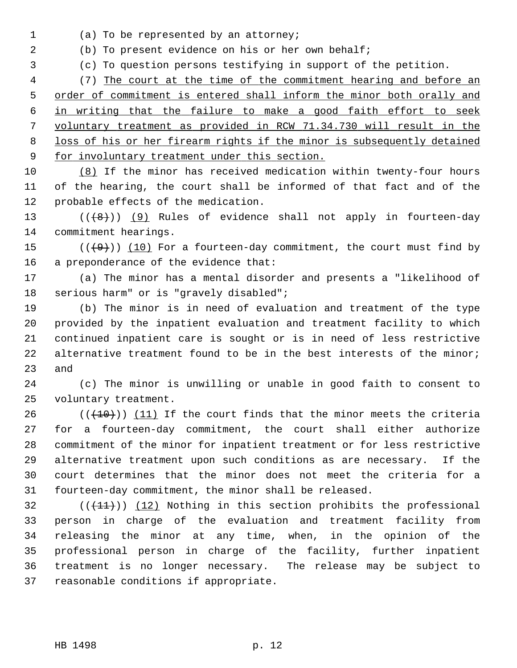1 (a) To be represented by an attorney;

2 (b) To present evidence on his or her own behalf;

3 (c) To question persons testifying in support of the petition.

 4 (7) The court at the time of the commitment hearing and before an order of commitment is entered shall inform the minor both orally and in writing that the failure to make a good faith effort to seek voluntary treatment as provided in RCW 71.34.730 will result in the loss of his or her firearm rights if the minor is subsequently detained for involuntary treatment under this section.

10 (8) If the minor has received medication within twenty-four hours 11 of the hearing, the court shall be informed of that fact and of the 12 probable effects of the medication.

13  $((+8))$  (9) Rules of evidence shall not apply in fourteen-day 14 commitment hearings.

15  $((+9))$  (10) For a fourteen-day commitment, the court must find by 16 a preponderance of the evidence that:

17 (a) The minor has a mental disorder and presents a "likelihood of 18 serious harm" or is "gravely disabled";

19 (b) The minor is in need of evaluation and treatment of the type 20 provided by the inpatient evaluation and treatment facility to which 21 continued inpatient care is sought or is in need of less restrictive 22 alternative treatment found to be in the best interests of the minor; 23 and

24 (c) The minor is unwilling or unable in good faith to consent to 25 voluntary treatment.

26  $((+10))$  (11) If the court finds that the minor meets the criteria 27 for a fourteen-day commitment, the court shall either authorize 28 commitment of the minor for inpatient treatment or for less restrictive 29 alternative treatment upon such conditions as are necessary. If the 30 court determines that the minor does not meet the criteria for a 31 fourteen-day commitment, the minor shall be released.

 $(1)$  (( $(1)$ )) (12) Nothing in this section prohibits the professional 33 person in charge of the evaluation and treatment facility from 34 releasing the minor at any time, when, in the opinion of the 35 professional person in charge of the facility, further inpatient 36 treatment is no longer necessary. The release may be subject to 37 reasonable conditions if appropriate.